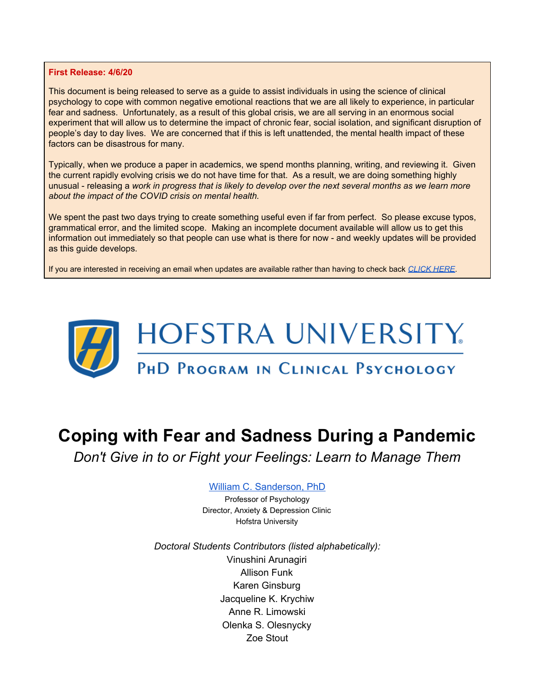#### **First Release: 4/6/20**

This document is being released to serve as a guide to assist individuals in using the science of clinical psychology to cope with common negative emotional reactions that we are all likely to experience, in particular fear and sadness. Unfortunately, as a result of this global crisis, we are all serving in an enormous social experiment that will allow us to determine the impact of chronic fear, social isolation, and significant disruption of people's day to day lives. We are concerned that if this is left unattended, the mental health impact of these factors can be disastrous for many.

Typically, when we produce a paper in academics, we spend months planning, writing, and reviewing it. Given the current rapidly evolving crisis we do not have time for that. As a result, we are doing something highly unusual - releasing a work in progress that is likely to develop over the next several months as we learn more *about the impact of the COVID crisis on mental health.*

We spent the past two days trying to create something useful even if far from perfect. So please excuse typos, grammatical error, and the limited scope. Making an incomplete document available will allow us to get this information out immediately so that people can use what is there for now - and weekly updates will be provided as this guide develops.

If you are interested in receiving an email when updates are available rather than having to check back *[CLICK HERE](https://docs.google.com/forms/d/e/1FAIpQLSeO35Y8lftDPHS7MuslsgXyogi1dWFb5yfSIXMOU49reQajgQ/viewform?usp=sf_link)*.



# **Coping with Fear and Sadness During a Pandemic**

*Don't Give in to or Fight your Feelings: Learn to Manage Them*

#### William C. [Sanderson,](https://sites.google.com/view/sandersonhofstra) PhD

Professor of Psychology Director, Anxiety & Depression Clinic Hofstra University

*Doctoral Students Contributors (listed alphabetically):* Vinushini Arunagiri Allison Funk Karen Ginsburg Jacqueline K. Krychiw Anne R. Limowski Olenka S. Olesnycky Zoe Stout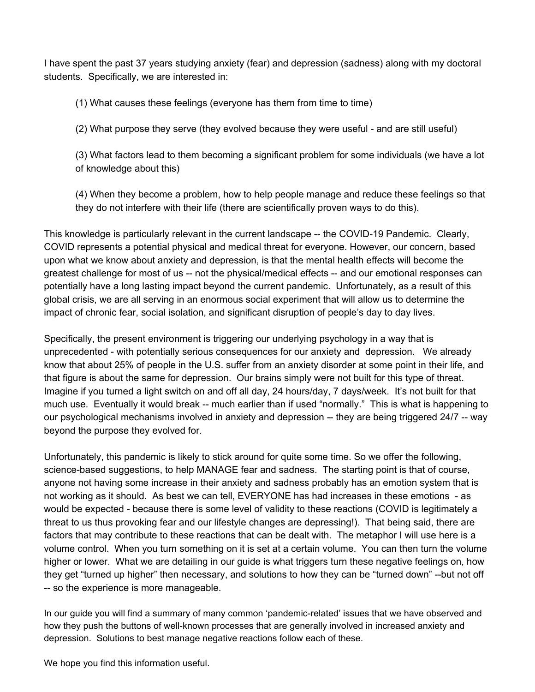I have spent the past 37 years studying anxiety (fear) and depression (sadness) along with my doctoral students. Specifically, we are interested in:

(1) What causes these feelings (everyone has them from time to time)

(2) What purpose they serve (they evolved because they were useful - and are still useful)

(3) What factors lead to them becoming a significant problem for some individuals (we have a lot of knowledge about this)

(4) When they become a problem, how to help people manage and reduce these feelings so that they do not interfere with their life (there are scientifically proven ways to do this).

This knowledge is particularly relevant in the current landscape -- the COVID-19 Pandemic. Clearly, COVID represents a potential physical and medical threat for everyone. However, our concern, based upon what we know about anxiety and depression, is that the mental health effects will become the greatest challenge for most of us -- not the physical/medical effects -- and our emotional responses can potentially have a long lasting impact beyond the current pandemic. Unfortunately, as a result of this global crisis, we are all serving in an enormous social experiment that will allow us to determine the impact of chronic fear, social isolation, and significant disruption of people's day to day lives.

Specifically, the present environment is triggering our underlying psychology in a way that is unprecedented - with potentially serious consequences for our anxiety and depression. We already know that about 25% of people in the U.S. suffer from an anxiety disorder at some point in their life, and that figure is about the same for depression. Our brains simply were not built for this type of threat. Imagine if you turned a light switch on and off all day, 24 hours/day, 7 days/week. It's not built for that much use. Eventually it would break -- much earlier than if used "normally." This is what is happening to our psychological mechanisms involved in anxiety and depression -- they are being triggered 24/7 -- way beyond the purpose they evolved for.

Unfortunately, this pandemic is likely to stick around for quite some time. So we offer the following, science-based suggestions, to help MANAGE fear and sadness. The starting point is that of course, anyone not having some increase in their anxiety and sadness probably has an emotion system that is not working as it should. As best we can tell, EVERYONE has had increases in these emotions - as would be expected - because there is some level of validity to these reactions (COVID is legitimately a threat to us thus provoking fear and our lifestyle changes are depressing!). That being said, there are factors that may contribute to these reactions that can be dealt with. The metaphor I will use here is a volume control. When you turn something on it is set at a certain volume. You can then turn the volume higher or lower. What we are detailing in our guide is what triggers turn these negative feelings on, how they get "turned up higher" then necessary, and solutions to how they can be "turned down" --but not off -- so the experience is more manageable.

In our guide you will find a summary of many common 'pandemic-related' issues that we have observed and how they push the buttons of well-known processes that are generally involved in increased anxiety and depression. Solutions to best manage negative reactions follow each of these.

We hope you find this information useful.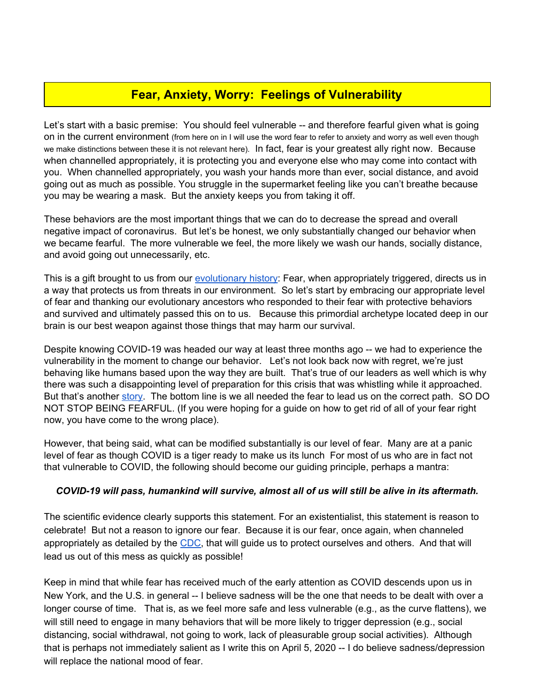# **Fear, Anxiety, Worry: Feelings of Vulnerability**

Let's start with a basic premise: You should feel vulnerable -- and therefore fearful given what is going on in the current environment (from here on in I will use the word fear to refer to anxiety and worry as well even though we make distinctions between these it is not relevant here). In fact, fear is your greatest ally right now. Because when channelled appropriately, it is protecting you and everyone else who may come into contact with you. When channelled appropriately, you wash your hands more than ever, social distance, and avoid going out as much as possible. You struggle in the supermarket feeling like you can't breathe because you may be wearing a mask. But the anxiety keeps you from taking it off.

These behaviors are the most important things that we can do to decrease the spread and overall negative impact of coronavirus. But let's be honest, we only substantially changed our behavior when we became fearful. The more vulnerable we feel, the more likely we wash our hands, socially distance, and avoid going out unnecessarily, etc.

This is a gift brought to us from our [evolutionary](https://www.psychologytoday.com/us/blog/our-evolutionary-selves/201703/evolutionary-psychology-applies-everyone) history: Fear, when appropriately triggered, directs us in a way that protects us from threats in our environment. So let's start by embracing our appropriate level of fear and thanking our evolutionary ancestors who responded to their fear with protective behaviors and survived and ultimately passed this on to us. Because this primordial archetype located deep in our brain is our best weapon against those things that may harm our survival.

Despite knowing COVID-19 was headed our way at least three months ago -- we had to experience the vulnerability in the moment to change our behavior. Let's not look back now with regret, we're just behaving like humans based upon the way they are built. That's true of our leaders as well which is why there was such a disappointing level of preparation for this crisis that was whistling while it approached. But that's another [story.](https://www.psychologytoday.com/us/blog/our-evolutionary-selves/202003/blind-spot-failure-imagination-and-existential-threats) The bottom line is we all needed the fear to lead us on the correct path. SO DO NOT STOP BEING FEARFUL. (If you were hoping for a guide on how to get rid of all of your fear right now, you have come to the wrong place).

However, that being said, what can be modified substantially is our level of fear. Many are at a panic level of fear as though COVID is a tiger ready to make us its lunch For most of us who are in fact not that vulnerable to COVID, the following should become our guiding principle, perhaps a mantra:

#### *COVID-19 will pass, humankind will survive, almost all of us will still be alive in its aftermath.*

The scientific evidence clearly supports this statement. For an existentialist, this statement is reason to celebrate! But not a reason to ignore our fear. Because it is our fear, once again, when channeled appropriately as detailed by the [CDC](https://www.cdc.gov/coronavirus/2019-ncov/prevent-getting-sick/prevention.html), that will guide us to protect ourselves and others. And that will lead us out of this mess as quickly as possible!

Keep in mind that while fear has received much of the early attention as COVID descends upon us in New York, and the U.S. in general -- I believe sadness will be the one that needs to be dealt with over a longer course of time. That is, as we feel more safe and less vulnerable (e.g., as the curve flattens), we will still need to engage in many behaviors that will be more likely to trigger depression (e.g., social distancing, social withdrawal, not going to work, lack of pleasurable group social activities). Although that is perhaps not immediately salient as I write this on April 5, 2020 -- I do believe sadness/depression will replace the national mood of fear.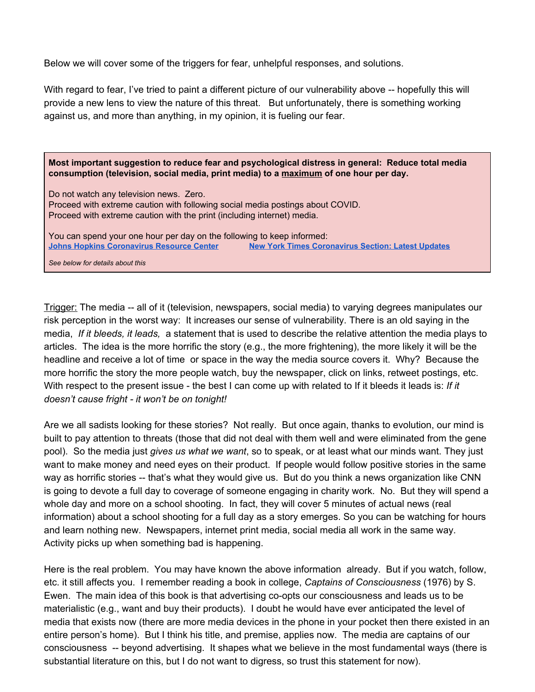Below we will cover some of the triggers for fear, unhelpful responses, and solutions.

With regard to fear, I've tried to paint a different picture of our vulnerability above -- hopefully this will provide a new lens to view the nature of this threat. But unfortunately, there is something working against us, and more than anything, in my opinion, it is fueling our fear.

**Most important suggestion to reduce fear and psychological distress in general: Reduce total media consumption (television, social media, print media) to a maximum of one hour per day.**

Do not watch any television news. Zero. Proceed with extreme caution with following social media postings about COVID. Proceed with extreme caution with the print (including internet) media.

You can spend your one hour per day on the following to keep informed: **[Johns Hopkins Coronavirus Resource Center](https://coronavirus.jhu.edu/?utm_source=jhu_properties&utm_medium=dig_link&utm_content=ow_hubinfo&utm_campaign=jh20) [New York Times Coronavirus Section: Latest Updates](https://www.nytimes.com/2020/04/05/world/coronavirus-news.html?action=click&pgtype=Article&state=default&module=STYLN_coronahub&variant=show®ion=header&context=menu)**

*See below for details about this*

Trigger: The media -- all of it (television, newspapers, social media) to varying degrees manipulates our risk perception in the worst way: It increases our sense of vulnerability. There is an old saying in the media, *If it bleeds, it leads,* a statement that is used to describe the relative attention the media plays to articles. The idea is the more horrific the story (e.g., the more frightening), the more likely it will be the headline and receive a lot of time or space in the way the media source covers it. Why? Because the more horrific the story the more people watch, buy the newspaper, click on links, retweet postings, etc. With respect to the present issue - the best I can come up with related to If it bleeds it leads is: *If it doesn't cause fright - it won't be on tonight!*

Are we all sadists looking for these stories? Not really. But once again, thanks to evolution, our mind is built to pay attention to threats (those that did not deal with them well and were eliminated from the gene pool). So the media just *gives us what we want*, so to speak, or at least what our minds want. They just want to make money and need eyes on their product. If people would follow positive stories in the same way as horrific stories -- that's what they would give us. But do you think a news organization like CNN is going to devote a full day to coverage of someone engaging in charity work. No. But they will spend a whole day and more on a school shooting. In fact, they will cover 5 minutes of actual news (real information) about a school shooting for a full day as a story emerges. So you can be watching for hours and learn nothing new. Newspapers, internet print media, social media all work in the same way. Activity picks up when something bad is happening.

Here is the real problem. You may have known the above information already. But if you watch, follow, etc. it still affects you. I remember reading a book in college, *Captains of Consciousness* (1976) by S. Ewen. The main idea of this book is that advertising co-opts our consciousness and leads us to be materialistic (e.g., want and buy their products). I doubt he would have ever anticipated the level of media that exists now (there are more media devices in the phone in your pocket then there existed in an entire person's home). But I think his title, and premise, applies now. The media are captains of our consciousness -- beyond advertising. It shapes what we believe in the most fundamental ways (there is substantial literature on this, but I do not want to digress, so trust this statement for now).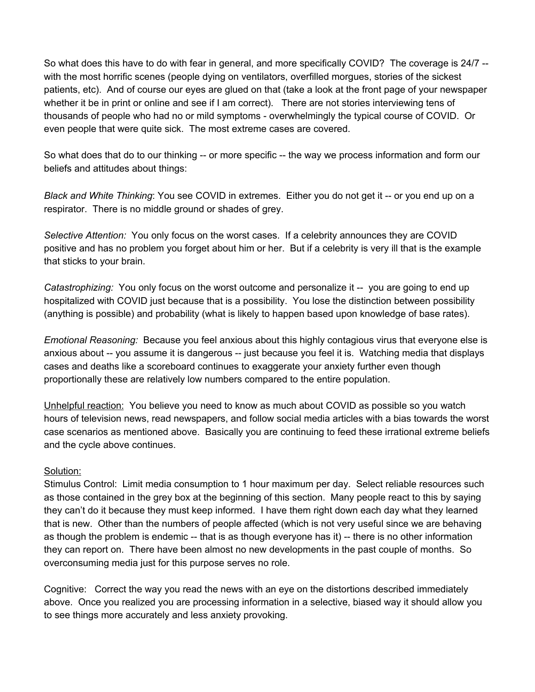So what does this have to do with fear in general, and more specifically COVID? The coverage is 24/7 - with the most horrific scenes (people dying on ventilators, overfilled morgues, stories of the sickest patients, etc). And of course our eyes are glued on that (take a look at the front page of your newspaper whether it be in print or online and see if I am correct). There are not stories interviewing tens of thousands of people who had no or mild symptoms - overwhelmingly the typical course of COVID. Or even people that were quite sick. The most extreme cases are covered.

So what does that do to our thinking -- or more specific -- the way we process information and form our beliefs and attitudes about things:

*Black and White Thinking*: You see COVID in extremes. Either you do not get it -- or you end up on a respirator. There is no middle ground or shades of grey.

*Selective Attention:* You only focus on the worst cases. If a celebrity announces they are COVID positive and has no problem you forget about him or her. But if a celebrity is very ill that is the example that sticks to your brain.

*Catastrophizing:* You only focus on the worst outcome and personalize it -- you are going to end up hospitalized with COVID just because that is a possibility. You lose the distinction between possibility (anything is possible) and probability (what is likely to happen based upon knowledge of base rates).

*Emotional Reasoning:* Because you feel anxious about this highly contagious virus that everyone else is anxious about -- you assume it is dangerous -- just because you feel it is. Watching media that displays cases and deaths like a scoreboard continues to exaggerate your anxiety further even though proportionally these are relatively low numbers compared to the entire population.

Unhelpful reaction: You believe you need to know as much about COVID as possible so you watch hours of television news, read newspapers, and follow social media articles with a bias towards the worst case scenarios as mentioned above. Basically you are continuing to feed these irrational extreme beliefs and the cycle above continues.

#### Solution:

Stimulus Control: Limit media consumption to 1 hour maximum per day. Select reliable resources such as those contained in the grey box at the beginning of this section. Many people react to this by saying they can't do it because they must keep informed. I have them right down each day what they learned that is new. Other than the numbers of people affected (which is not very useful since we are behaving as though the problem is endemic -- that is as though everyone has it) -- there is no other information they can report on. There have been almost no new developments in the past couple of months. So overconsuming media just for this purpose serves no role.

Cognitive: Correct the way you read the news with an eye on the distortions described immediately above. Once you realized you are processing information in a selective, biased way it should allow you to see things more accurately and less anxiety provoking.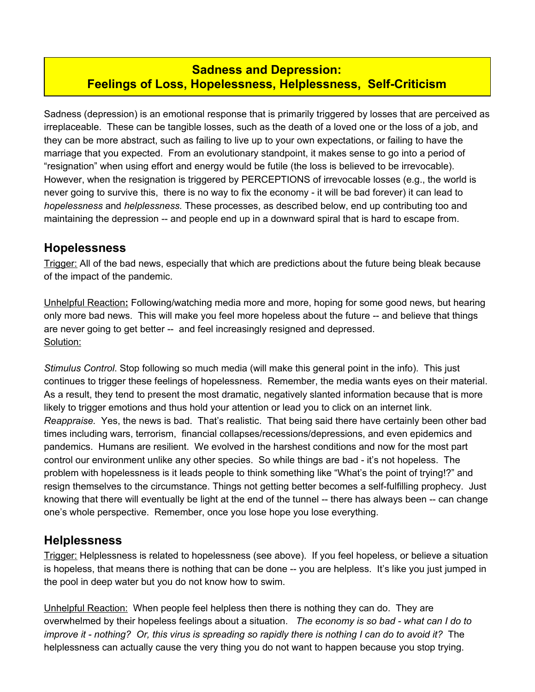## **Sadness and Depression: Feelings of Loss, Hopelessness, Helplessness, Self-Criticism**

Sadness (depression) is an emotional response that is primarily triggered by losses that are perceived as irreplaceable. These can be tangible losses, such as the death of a loved one or the loss of a job, and they can be more abstract, such as failing to live up to your own expectations, or failing to have the marriage that you expected. From an evolutionary standpoint, it makes sense to go into a period of "resignation" when using effort and energy would be futile (the loss is believed to be irrevocable). However, when the resignation is triggered by PERCEPTIONS of irrevocable losses (e.g., the world is never going to survive this, there is no way to fix the economy - it will be bad forever) it can lead to *hopelessness* and *helplessness.* These processes, as described below, end up contributing too and maintaining the depression -- and people end up in a downward spiral that is hard to escape from.

## **Hopelessness**

**Trigger:** All of the bad news, especially that which are predictions about the future being bleak because of the impact of the pandemic.

Unhelpful Reaction**:** Following/watching media more and more, hoping for some good news, but hearing only more bad news. This will make you feel more hopeless about the future -- and believe that things are never going to get better -- and feel increasingly resigned and depressed. Solution:

*Stimulus Control*. Stop following so much media (will make this general point in the info). This just continues to trigger these feelings of hopelessness. Remember, the media wants eyes on their material. As a result, they tend to present the most dramatic, negatively slanted information because that is more likely to trigger emotions and thus hold your attention or lead you to click on an internet link. *Reappraise.* Yes, the news is bad. That's realistic. That being said there have certainly been other bad times including wars, terrorism, financial collapses/recessions/depressions, and even epidemics and pandemics. Humans are resilient. We evolved in the harshest conditions and now for the most part control our environment unlike any other species. So while things are bad - it's not hopeless. The problem with hopelessness is it leads people to think something like "What's the point of trying!?" and resign themselves to the circumstance. Things not getting better becomes a self-fulfilling prophecy. Just knowing that there will eventually be light at the end of the tunnel -- there has always been -- can change one's whole perspective. Remember, once you lose hope you lose everything.

## **Helplessness**

Trigger: Helplessness is related to hopelessness (see above). If you feel hopeless, or believe a situation is hopeless, that means there is nothing that can be done -- you are helpless. It's like you just jumped in the pool in deep water but you do not know how to swim.

Unhelpful Reaction: When people feel helpless then there is nothing they can do. They are overwhelmed by their hopeless feelings about a situation. *The economy is so bad - what can I do to* improve it - nothing? Or, this virus is spreading so rapidly there is nothing I can do to avoid it? The helplessness can actually cause the very thing you do not want to happen because you stop trying.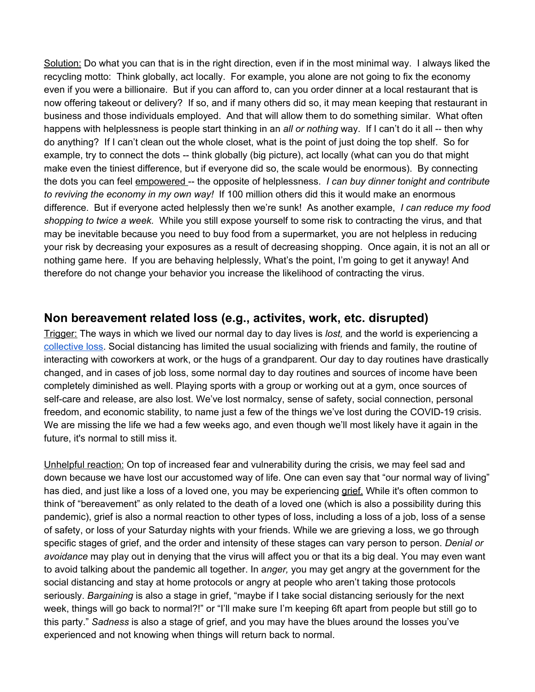Solution: Do what you can that is in the right direction, even if in the most minimal way. I always liked the recycling motto: Think globally, act locally. For example, you alone are not going to fix the economy even if you were a billionaire. But if you can afford to, can you order dinner at a local restaurant that is now offering takeout or delivery? If so, and if many others did so, it may mean keeping that restaurant in business and those individuals employed. And that will allow them to do something similar. What often happens with helplessness is people start thinking in an *all or nothing* way. If I can't do it all -- then why do anything? If I can't clean out the whole closet, what is the point of just doing the top shelf. So for example, try to connect the dots -- think globally (big picture), act locally (what can you do that might make even the tiniest difference, but if everyone did so, the scale would be enormous). By connecting the dots you can feel empowered -- the opposite of helplessness. *I can buy dinner tonight and contribute to reviving the economy in my own way!* If 100 million others did this it would make an enormous difference. But if everyone acted helplessly then we're sunk! As another example, *I can reduce my food shopping to twice a week.* While you still expose yourself to some risk to contracting the virus, and that may be inevitable because you need to buy food from a supermarket, you are not helpless in reducing your risk by decreasing your exposures as a result of decreasing shopping. Once again, it is not an all or nothing game here. If you are behaving helplessly, What's the point, I'm going to get it anyway! And therefore do not change your behavior you increase the likelihood of contracting the virus.

## **Non bereavement related loss (e.g., activites, work, etc. disrupted)**

Trigger: The ways in which we lived our normal day to day lives is *lost,* and the world is experiencing a [collective](https://www.apa.org/news/apa/2020/04/grief-covid-19) loss. Social distancing has limited the usual socializing with friends and family, the routine of interacting with coworkers at work, or the hugs of a grandparent. Our day to day routines have drastically changed, and in cases of job loss, some normal day to day routines and sources of income have been completely diminished as well. Playing sports with a group or working out at a gym, once sources of self-care and release, are also lost. We've lost normalcy, sense of safety, social connection, personal freedom, and economic stability, to name just a few of the things we've lost during the COVID-19 crisis. We are missing the life we had a few weeks ago, and even though we'll most likely have it again in the future, it's normal to still miss it.

Unhelpful reaction: On top of increased fear and vulnerability during the crisis, we may feel sad and down because we have lost our accustomed way of life. One can even say that "our normal way of living" has died, and just like a loss of a loved one, you may be experiencing [grief.](https://hbr.org/2020/03/that-discomfort-youre-feeling-is-grief?fbclid=IwAR0kOOWk-kKECz_5R8THiKwbjU1h6OIZ8MHfKIDmDkrQgYKkr706E2N4ook) While it's often common to think of "bereavement" as only related to the death of a loved one (which is also a possibility during this pandemic), grief is also a normal reaction to other types of loss, including a loss of a job, loss of a sense of safety, or loss of your Saturday nights with your friends. While we are grieving a loss, we go through specific stages of grief, and the order and intensity of these stages can vary person to person. *Denial or avoidance* may play out in denying that the virus will affect you or that its a big deal. You may even want to avoid talking about the pandemic all together. In a*nger,* you may get angry at the government for the social distancing and stay at home protocols or angry at people who aren't taking those protocols seriously. *Bargaining* is also a stage in grief, "maybe if I take social distancing seriously for the next week, things will go back to normal?!" or "I'll make sure I'm keeping 6ft apart from people but still go to this party." *Sadness* is also a stage of grief, and you may have the blues around the losses you've experienced and not knowing when things will return back to normal.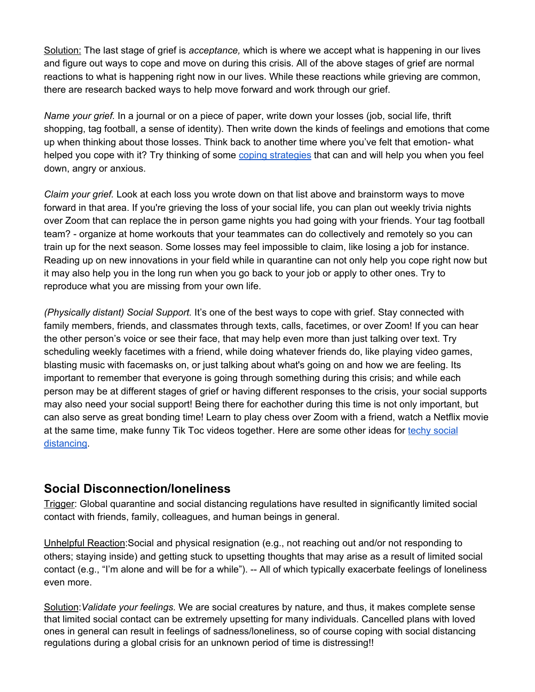Solution: The last stage of grief is *acceptance,* which is where we accept what is happening in our lives and figure out ways to cope and move on during this crisis. All of the above stages of grief are normal reactions to what is happening right now in our lives. While these reactions while grieving are common, there are research backed ways to help move forward and work through our grief.

*Name your grief.* In a journal or on a piece of paper, write down your losses (job, social life, thrift shopping, tag football, a sense of identity). Then write down the kinds of feelings and emotions that come up when thinking about those losses. Think back to another time where you've felt that emotion- what helped you cope with it? Try thinking of some coping [strategies](https://www.verywellmind.com/forty-healthy-coping-skills-4586742) that can and will help you when you feel down, angry or anxious.

*Claim your grief.* Look at each loss you wrote down on that list above and brainstorm ways to move forward in that area. If you're grieving the loss of your social life, you can plan out weekly trivia nights over Zoom that can replace the in person game nights you had going with your friends. Your tag football team? - organize at home workouts that your teammates can do collectively and remotely so you can train up for the next season. Some losses may feel impossible to claim, like losing a job for instance. Reading up on new innovations in your field while in quarantine can not only help you cope right now but it may also help you in the long run when you go back to your job or apply to other ones. Try to reproduce what you are missing from your own life.

*(Physically distant) Social Support.* It's one of the best ways to cope with grief. Stay connected with family members, friends, and classmates through texts, calls, facetimes, or over Zoom! If you can hear the other person's voice or see their face, that may help even more than just talking over text. Try scheduling weekly facetimes with a friend, while doing whatever friends do, like playing video games, blasting music with facemasks on, or just talking about what's going on and how we are feeling. Its important to remember that everyone is going through something during this crisis; and while each person may be at different stages of grief or having different responses to the crisis, your social supports may also need your social support! Being there for eachother during this time is not only important, but can also serve as great bonding time! Learn to play chess over Zoom with a friend, watch a Netflix movie at the same time, make funny Tik Toc videos together. Here are some other ideas for techy [social](https://www.cnet.com/news/socializing-while-social-distancing-tech-can-help-you-get-creative/) [distancing.](https://www.cnet.com/news/socializing-while-social-distancing-tech-can-help-you-get-creative/)

## **Social Disconnection/loneliness**

Trigger: Global quarantine and social distancing regulations have resulted in significantly limited social contact with friends, family, colleagues, and human beings in general.

Unhelpful Reaction:Social and physical resignation (e.g., not reaching out and/or not responding to others; staying inside) and getting stuck to upsetting thoughts that may arise as a result of limited social contact (e.g., "I'm alone and will be for a while"). -- All of which typically exacerbate feelings of loneliness even more.

Solution:*Validate your feelings.* We are social creatures by nature, and thus, it makes complete sense that limited social contact can be extremely upsetting for many individuals. Cancelled plans with loved ones in general can result in feelings of sadness/loneliness, so of course coping with social distancing regulations during a global crisis for an unknown period of time is distressing!!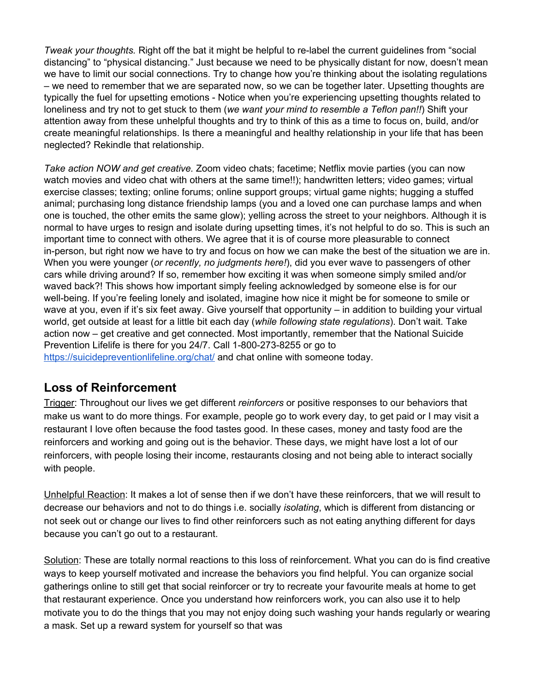*Tweak your thoughts.* Right off the bat it might be helpful to re-label the current guidelines from "social distancing" to "physical distancing." Just because we need to be physically distant for now, doesn't mean we have to limit our social connections. Try to change how you're thinking about the isolating regulations – we need to remember that we are separated now, so we can be together later. Upsetting thoughts are typically the fuel for upsetting emotions - Notice when you're experiencing upsetting thoughts related to loneliness and try not to get stuck to them (*we want your mind to resemble a Teflon pan!!*) Shift your attention away from these unhelpful thoughts and try to think of this as a time to focus on, build, and/or create meaningful relationships. Is there a meaningful and healthy relationship in your life that has been neglected? Rekindle that relationship.

*Take action NOW and get creative.* Zoom video chats; facetime; Netflix movie parties (you can now watch movies and video chat with others at the same time!!); handwritten letters; video games; virtual exercise classes; texting; online forums; online support groups; virtual game nights; hugging a stuffed animal; purchasing long distance friendship lamps (you and a loved one can purchase lamps and when one is touched, the other emits the same glow); yelling across the street to your neighbors. Although it is normal to have urges to resign and isolate during upsetting times, it's not helpful to do so. This is such an important time to connect with others. We agree that it is of course more pleasurable to connect in-person, but right now we have to try and focus on how we can make the best of the situation we are in. When you were younger (*or recently, no judgments here!*), did you ever wave to passengers of other cars while driving around? If so, remember how exciting it was when someone simply smiled and/or waved back?! This shows how important simply feeling acknowledged by someone else is for our well-being. If you're feeling lonely and isolated, imagine how nice it might be for someone to smile or wave at you, even if it's six feet away. Give yourself that opportunity – in addition to building your virtual world, get outside at least for a little bit each day (*while following state regulations*). Don't wait. Take action now – get creative and get connected. Most importantly, remember that the National Suicide Prevention Lifelife is there for you 24/7. Call 1-800-273-8255 or go to <https://suicidepreventionlifeline.org/chat/> and chat online with someone today.

## **Loss of Reinforcement**

Trigger: Throughout our lives we get different *reinforcers* or positive responses to our behaviors that make us want to do more things. For example, people go to work every day, to get paid or I may visit a restaurant I love often because the food tastes good. In these cases, money and tasty food are the reinforcers and working and going out is the behavior. These days, we might have lost a lot of our reinforcers, with people losing their income, restaurants closing and not being able to interact socially with people.

Unhelpful Reaction: It makes a lot of sense then if we don't have these reinforcers, that we will result to decrease our behaviors and not to do things i.e. socially *isolating*, which is different from distancing or not seek out or change our lives to find other reinforcers such as not eating anything different for days because you can't go out to a restaurant.

Solution: These are totally normal reactions to this loss of reinforcement. What you can do is find creative ways to keep yourself motivated and increase the behaviors you find helpful. You can organize social gatherings online to still get that social reinforcer or try to recreate your favourite meals at home to get that restaurant experience. Once you understand how reinforcers work, you can also use it to help motivate you to do the things that you may not enjoy doing such washing your hands regularly or wearing a mask. Set up a reward system for yourself so that was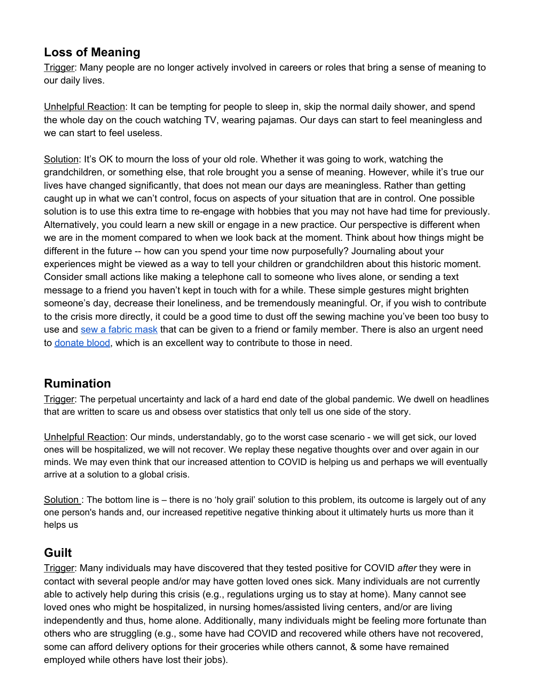## **Loss of Meaning**

Trigger: Many people are no longer actively involved in careers or roles that bring a sense of meaning to our daily lives.

Unhelpful Reaction: It can be tempting for people to sleep in, skip the normal daily shower, and spend the whole day on the couch watching TV, wearing pajamas. Our days can start to feel meaningless and we can start to feel useless.

Solution: It's OK to mourn the loss of your old role. Whether it was going to work, watching the grandchildren, or something else, that role brought you a sense of meaning. However, while it's true our lives have changed significantly, that does not mean our days are meaningless. Rather than getting caught up in what we can't control, focus on aspects of your situation that are in control. One possible solution is to use this extra time to re-engage with hobbies that you may not have had time for previously. Alternatively, you could learn a new skill or engage in a new practice. Our perspective is different when we are in the moment compared to when we look back at the moment. Think about how things might be different in the future -- how can you spend your time now purposefully? Journaling about your experiences might be viewed as a way to tell your children or grandchildren about this historic moment. Consider small actions like making a telephone call to someone who lives alone, or sending a text message to a friend you haven't kept in touch with for a while. These simple gestures might brighten someone's day, decrease their loneliness, and be tremendously meaningful. Or, if you wish to contribute to the crisis more directly, it could be a good time to dust off the sewing machine you've been too busy to use and sew a [fabric](https://www.nytimes.com/article/how-to-make-face-mask-coronavirus.html) mask that can be given to a friend or family member. There is also an urgent need to [donate](https://www.fda.gov/news-events/press-announcements/coronavirus-covid-19-update-fda-provides-updated-guidance-address-urgent-need-blood-during-pandemic) blood, which is an excellent way to contribute to those in need.

# **Rumination**

Trigger: The perpetual uncertainty and lack of a hard end date of the global pandemic. We dwell on headlines that are written to scare us and obsess over statistics that only tell us one side of the story.

Unhelpful Reaction: Our minds, understandably, go to the worst case scenario - we will get sick, our loved ones will be hospitalized, we will not recover. We replay these negative thoughts over and over again in our minds. We may even think that our increased attention to COVID is helping us and perhaps we will eventually arrive at a solution to a global crisis.

Solution : The bottom line is – there is no 'holy grail' solution to this problem, its outcome is largely out of any one person's hands and, our increased repetitive negative thinking about it ultimately hurts us more than it helps us

## **Guilt**

Trigger: Many individuals may have discovered that they tested positive for COVID *after* they were in contact with several people and/or may have gotten loved ones sick. Many individuals are not currently able to actively help during this crisis (e.g., regulations urging us to stay at home). Many cannot see loved ones who might be hospitalized, in nursing homes/assisted living centers, and/or are living independently and thus, home alone. Additionally, many individuals might be feeling more fortunate than others who are struggling (e.g., some have had COVID and recovered while others have not recovered, some can afford delivery options for their groceries while others cannot, & some have remained employed while others have lost their jobs).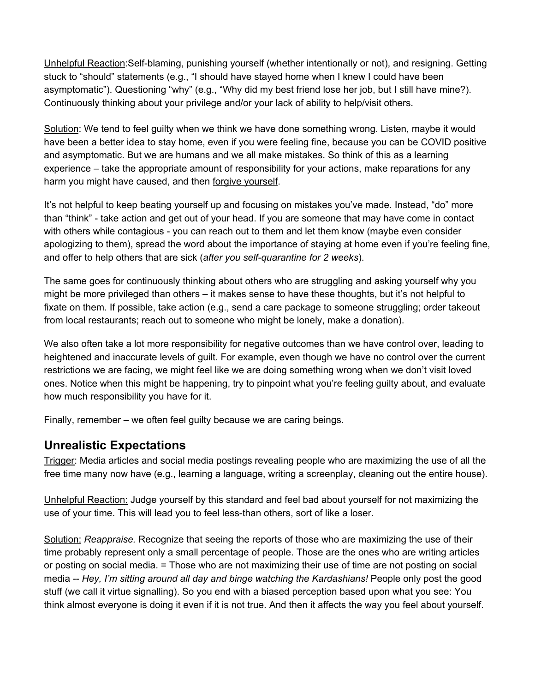Unhelpful Reaction:Self-blaming, punishing yourself (whether intentionally or not), and resigning. Getting stuck to "should" statements (e.g., "I should have stayed home when I knew I could have been asymptomatic"). Questioning "why" (e.g., "Why did my best friend lose her job, but I still have mine?). Continuously thinking about your privilege and/or your lack of ability to help/visit others.

Solution: We tend to feel guilty when we think we have done something wrong. Listen, maybe it would have been a better idea to stay home, even if you were feeling fine, because you can be COVID positive and asymptomatic. But we are humans and we all make mistakes. So think of this as a learning experience – take the appropriate amount of responsibility for your actions, make reparations for any harm you might have caused, and then forgive yourself.

It's not helpful to keep beating yourself up and focusing on mistakes you've made. Instead, "do" more than "think" - take action and get out of your head. If you are someone that may have come in contact with others while contagious - you can reach out to them and let them know (maybe even consider apologizing to them), spread the word about the importance of staying at home even if you're feeling fine, and offer to help others that are sick (*after you self-quarantine for 2 weeks*).

The same goes for continuously thinking about others who are struggling and asking yourself why you might be more privileged than others – it makes sense to have these thoughts, but it's not helpful to fixate on them. If possible, take action (e.g., send a care package to someone struggling; order takeout from local restaurants; reach out to someone who might be lonely, make a donation).

We also often take a lot more responsibility for negative outcomes than we have control over, leading to heightened and inaccurate levels of guilt. For example, even though we have no control over the current restrictions we are facing, we might feel like we are doing something wrong when we don't visit loved ones. Notice when this might be happening, try to pinpoint what you're feeling guilty about, and evaluate how much responsibility you have for it.

Finally, remember – we often feel guilty because we are caring beings.

## **Unrealistic Expectations**

Trigger: Media articles and social media postings revealing people who are maximizing the use of all the free time many now have (e.g., learning a language, writing a screenplay, cleaning out the entire house).

Unhelpful Reaction: Judge yourself by this standard and feel bad about yourself for not maximizing the use of your time. This will lead you to feel less-than others, sort of like a loser.

Solution: *Reappraise.* Recognize that seeing the reports of those who are maximizing the use of their time probably represent only a small percentage of people. Those are the ones who are writing articles or posting on social media. = Those who are not maximizing their use of time are not posting on social media -- *Hey, I'm sitting around all day and binge watching the Kardashians!* People only post the good stuff (we call it virtue signalling). So you end with a biased perception based upon what you see: You think almost everyone is doing it even if it is not true. And then it affects the way you feel about yourself.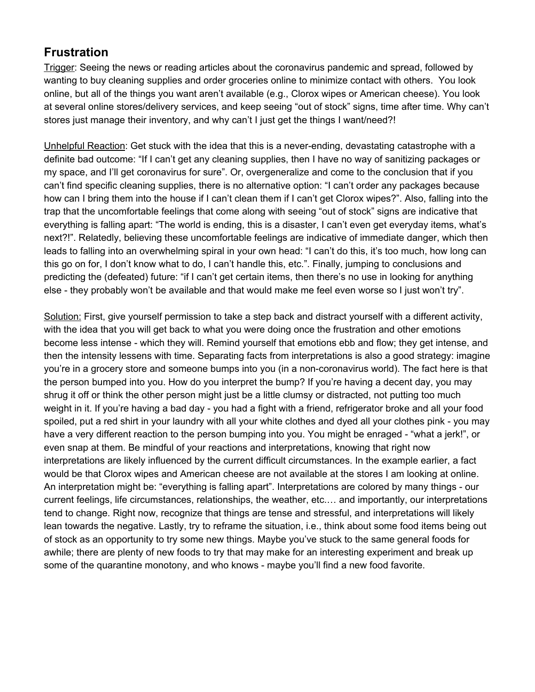# **Frustration**

Trigger: Seeing the news or reading articles about the coronavirus pandemic and spread, followed by wanting to buy cleaning supplies and order groceries online to minimize contact with others. You look online, but all of the things you want aren't available (e.g., Clorox wipes or American cheese). You look at several online stores/delivery services, and keep seeing "out of stock" signs, time after time. Why can't stores just manage their inventory, and why can't I just get the things I want/need?!

Unhelpful Reaction: Get stuck with the idea that this is a never-ending, devastating catastrophe with a definite bad outcome: "If I can't get any cleaning supplies, then I have no way of sanitizing packages or my space, and I'll get coronavirus for sure". Or, overgeneralize and come to the conclusion that if you can't find specific cleaning supplies, there is no alternative option: "I can't order any packages because how can I bring them into the house if I can't clean them if I can't get Clorox wipes?". Also, falling into the trap that the uncomfortable feelings that come along with seeing "out of stock" signs are indicative that everything is falling apart: "The world is ending, this is a disaster, I can't even get everyday items, what's next?!". Relatedly, believing these uncomfortable feelings are indicative of immediate danger, which then leads to falling into an overwhelming spiral in your own head: "I can't do this, it's too much, how long can this go on for, I don't know what to do, I can't handle this, etc.". Finally, jumping to conclusions and predicting the (defeated) future: "if I can't get certain items, then there's no use in looking for anything else - they probably won't be available and that would make me feel even worse so I just won't try".

Solution: First, give yourself permission to take a step back and distract yourself with a different activity, with the idea that you will get back to what you were doing once the frustration and other emotions become less intense - which they will. Remind yourself that emotions ebb and flow; they get intense, and then the intensity lessens with time. Separating facts from interpretations is also a good strategy: imagine you're in a grocery store and someone bumps into you (in a non-coronavirus world). The fact here is that the person bumped into you. How do you interpret the bump? If you're having a decent day, you may shrug it off or think the other person might just be a little clumsy or distracted, not putting too much weight in it. If you're having a bad day - you had a fight with a friend, refrigerator broke and all your food spoiled, put a red shirt in your laundry with all your white clothes and dyed all your clothes pink - you may have a very different reaction to the person bumping into you. You might be enraged - "what a jerk!", or even snap at them. Be mindful of your reactions and interpretations, knowing that right now interpretations are likely influenced by the current difficult circumstances. In the example earlier, a fact would be that Clorox wipes and American cheese are not available at the stores I am looking at online. An interpretation might be: "everything is falling apart". Interpretations are colored by many things - our current feelings, life circumstances, relationships, the weather, etc.… and importantly, our interpretations tend to change. Right now, recognize that things are tense and stressful, and interpretations will likely lean towards the negative. Lastly, try to reframe the situation, i.e., think about some food items being out of stock as an opportunity to try some new things. Maybe you've stuck to the same general foods for awhile; there are plenty of new foods to try that may make for an interesting experiment and break up some of the quarantine monotony, and who knows - maybe you'll find a new food favorite.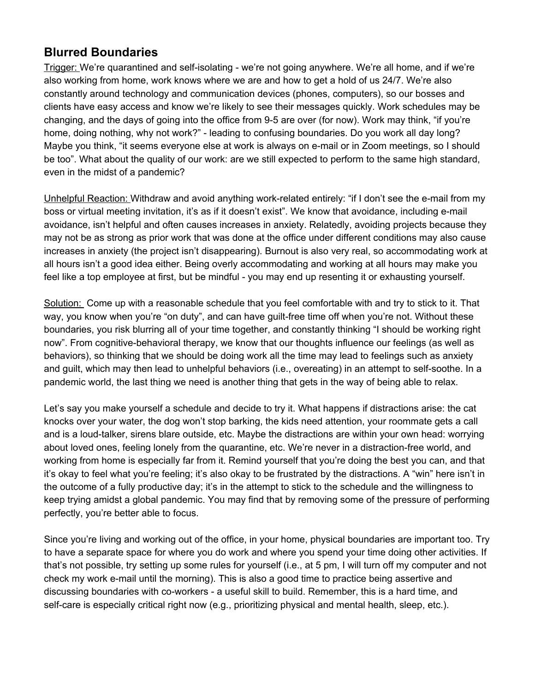## **Blurred Boundaries**

Trigger: We're quarantined and self-isolating - we're not going anywhere. We're all home, and if we're also working from home, work knows where we are and how to get a hold of us 24/7. We're also constantly around technology and communication devices (phones, computers), so our bosses and clients have easy access and know we're likely to see their messages quickly. Work schedules may be changing, and the days of going into the office from 9-5 are over (for now). Work may think, "if you're home, doing nothing, why not work?" - leading to confusing boundaries. Do you work all day long? Maybe you think, "it seems everyone else at work is always on e-mail or in Zoom meetings, so I should be too". What about the quality of our work: are we still expected to perform to the same high standard, even in the midst of a pandemic?

Unhelpful Reaction: Withdraw and avoid anything work-related entirely: "if I don't see the e-mail from my boss or virtual meeting invitation, it's as if it doesn't exist". We know that avoidance, including e-mail avoidance, isn't helpful and often causes increases in anxiety. Relatedly, avoiding projects because they may not be as strong as prior work that was done at the office under different conditions may also cause increases in anxiety (the project isn't disappearing). Burnout is also very real, so accommodating work at all hours isn't a good idea either. Being overly accommodating and working at all hours may make you feel like a top employee at first, but be mindful - you may end up resenting it or exhausting yourself.

Solution: Come up with a reasonable schedule that you feel comfortable with and try to stick to it. That way, you know when you're "on duty", and can have guilt-free time off when you're not. Without these boundaries, you risk blurring all of your time together, and constantly thinking "I should be working right now". From cognitive-behavioral therapy, we know that our thoughts influence our feelings (as well as behaviors), so thinking that we should be doing work all the time may lead to feelings such as anxiety and guilt, which may then lead to unhelpful behaviors (i.e., overeating) in an attempt to self-soothe. In a pandemic world, the last thing we need is another thing that gets in the way of being able to relax.

Let's say you make yourself a schedule and decide to try it. What happens if distractions arise: the cat knocks over your water, the dog won't stop barking, the kids need attention, your roommate gets a call and is a loud-talker, sirens blare outside, etc. Maybe the distractions are within your own head: worrying about loved ones, feeling lonely from the quarantine, etc. We're never in a distraction-free world, and working from home is especially far from it. Remind yourself that you're doing the best you can, and that it's okay to feel what you're feeling; it's also okay to be frustrated by the distractions. A "win" here isn't in the outcome of a fully productive day; it's in the attempt to stick to the schedule and the willingness to keep trying amidst a global pandemic. You may find that by removing some of the pressure of performing perfectly, you're better able to focus.

Since you're living and working out of the office, in your home, physical boundaries are important too. Try to have a separate space for where you do work and where you spend your time doing other activities. If that's not possible, try setting up some rules for yourself (i.e., at 5 pm, I will turn off my computer and not check my work e-mail until the morning). This is also a good time to practice being assertive and discussing boundaries with co-workers - a useful skill to build. Remember, this is a hard time, and self-care is especially critical right now (e.g., prioritizing physical and mental health, sleep, etc.).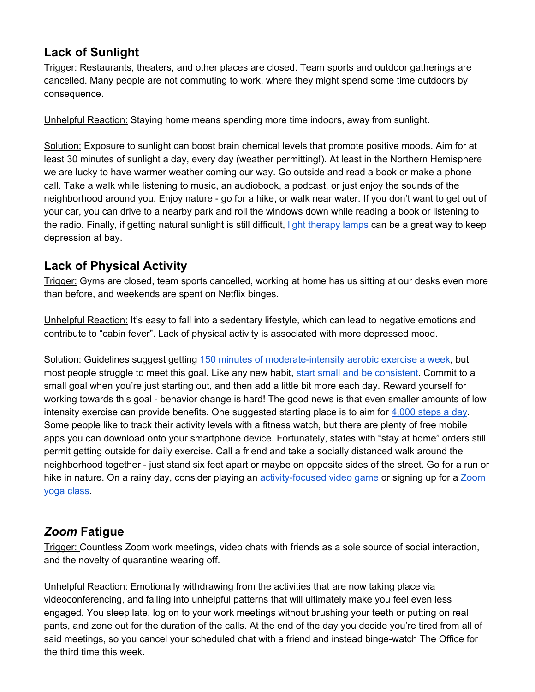# **Lack of Sunlight**

Trigger: Restaurants, theaters, and other places are closed. Team sports and outdoor gatherings are cancelled. Many people are not commuting to work, where they might spend some time outdoors by consequence.

Unhelpful Reaction: Staying home means spending more time indoors, away from sunlight.

Solution: Exposure to sunlight can boost brain chemical levels that promote positive moods. Aim for at least 30 minutes of sunlight a day, every day (weather permitting!). At least in the Northern Hemisphere we are lucky to have warmer weather coming our way. Go outside and read a book or make a phone call. Take a walk while listening to music, an audiobook, a podcast, or just enjoy the sounds of the neighborhood around you. Enjoy nature - go for a hike, or walk near water. If you don't want to get out of your car, you can drive to a nearby park and roll the windows down while reading a book or listening to the radio. Finally, if getting natural sunlight is still difficult, light [therapy](https://thewirecutter.com/reviews/best-light-therapy-lamp/) lamps can be a great way to keep depression at bay.

# **Lack of Physical Activity**

Trigger: Gyms are closed, team sports cancelled, working at home has us sitting at our desks even more than before, and weekends are spent on Netflix binges.

Unhelpful Reaction: It's easy to fall into a sedentary lifestyle, which can lead to negative emotions and contribute to "cabin fever". Lack of physical activity is associated with more depressed mood.

Solution: Guidelines suggest getting 150 minutes of [moderate-intensity](https://www.heart.org/en/healthy-living/fitness/fitness-basics/aha-recs-for-physical-activity-in-adults) aerobic exercise a week, but most people struggle to meet this goal. Like any new habit, start small and be [consistent](https://www.nytimes.com/2020/02/18/well/mind/how-to-build-healthy-habits.html). Commit to a small goal when you're just starting out, and then add a little bit more each day. Reward yourself for working towards this goal - behavior change is hard! The good news is that even smaller amounts of low intensity exercise can provide benefits. One suggested starting place is to aim for [4,000](https://www.nytimes.com/2020/04/01/well/move/steps-walking-longevity-health.html) steps a day. Some people like to track their activity levels with a fitness watch, but there are plenty of free mobile apps you can download onto your smartphone device. Fortunately, states with "stay at home" orders still permit getting outside for daily exercise. Call a friend and take a socially distanced walk around the neighborhood together - just stand six feet apart or maybe on opposite sides of the street. Go for a run or hike in nature. On a rainy day, consider playing an [activity-focused](https://ringfitadventure.nintendo.com/) video game or signing up for a [Zoom](https://www.theverge.com/2020/3/26/21195288/zoom-yoga-online-classes-coronavirus) yoga [class](https://www.theverge.com/2020/3/26/21195288/zoom-yoga-online-classes-coronavirus).

# *Zoom* **Fatigue**

Trigger: Countless Zoom work meetings, video chats with friends as a sole source of social interaction, and the novelty of quarantine wearing off.

Unhelpful Reaction: Emotionally withdrawing from the activities that are now taking place via videoconferencing, and falling into unhelpful patterns that will ultimately make you feel even less engaged. You sleep late, log on to your work meetings without brushing your teeth or putting on real pants, and zone out for the duration of the calls. At the end of the day you decide you're tired from all of said meetings, so you cancel your scheduled chat with a friend and instead binge-watch The Office for the third time this week.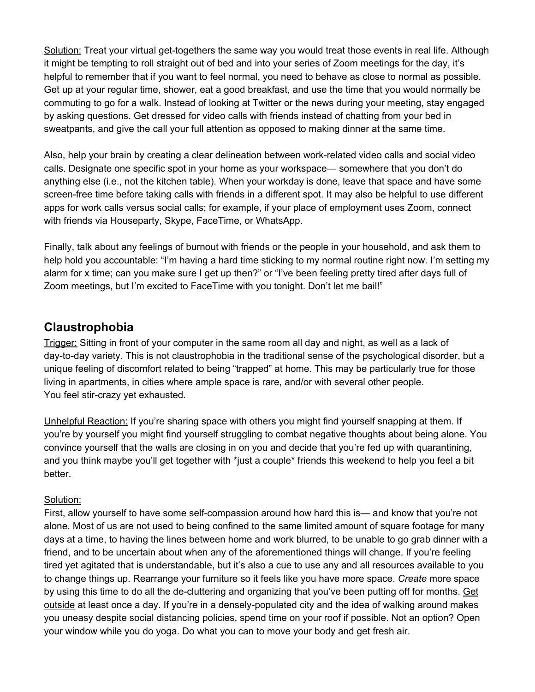Solution: Treat your virtual get-togethers the same way you would treat those events in real life. Although it might be tempting to roll straight out of bed and into your series of Zoom meetings for the day, it's helpful to remember that if you want to feel normal, you need to behave as close to normal as possible. Get up at your regular time, shower, eat a good breakfast, and use the time that you would normally be commuting to go for a walk. Instead of looking at Twitter or the news during your meeting, stay engaged by asking questions. Get dressed for video calls with friends instead of chatting from your bed in sweatpants, and give the call your full attention as opposed to making dinner at the same time.

Also, help your brain by creating a clear delineation between work-related video calls and social video calls. Designate one specific spot in your home as your workspace— somewhere that you don't do anything else (i.e., not the kitchen table). When your workday is done, leave that space and have some screen-free time before taking calls with friends in a different spot. It may also be helpful to use different apps for work calls versus social calls; for example, if your place of employment uses Zoom, connect with friends via Houseparty, Skype, FaceTime, or WhatsApp.

Finally, talk about any feelings of burnout with friends or the people in your household, and ask them to help hold you accountable: "I'm having a hard time sticking to my normal routine right now. I'm setting my alarm for x time; can you make sure I get up then?" or "I've been feeling pretty tired after days full of Zoom meetings, but I'm excited to FaceTime with you tonight. Don't let me bail!"

## **Claustrophobia**

Trigger: Sitting in front of your computer in the same room all day and night, as well as a lack of day-to-day variety. This is not claustrophobia in the traditional sense of the psychological disorder, but a unique feeling of discomfort related to being "trapped" at home. This may be particularly true for those living in apartments, in cities where ample space is rare, and/or with several other people. You feel stir-crazy yet exhausted.

Unhelpful Reaction: If you're sharing space with others you might find yourself snapping at them. If you're by yourself you might find yourself struggling to combat negative thoughts about being alone. You convince yourself that the walls are closing in on you and decide that you're fed up with quarantining, and you think maybe you'll get together with \*just a couple\* friends this weekend to help you feel a bit better.

#### Solution:

First, allow yourself to have some self-compassion around how hard this is— and know that you're not alone. Most of us are not used to being confined to the same limited amount of square footage for many days at a time, to having the lines between home and work blurred, to be unable to go grab dinner with a friend, and to be uncertain about when any of the aforementioned things will change. If you're feeling tired yet agitated that is understandable, but it's also a cue to use any and all resources available to you to change things up. Rearrange your furniture so it feels like you have more space. *Create* more space by using this time to do all the de-cluttering and organizing that you've been putting off for months. Get outside at least once a day. If you're in a densely-populated city and the idea of walking around makes you uneasy despite social distancing policies, spend time on your roof if possible. Not an option? Open your window while you do yoga. Do what you can to move your body and get fresh air.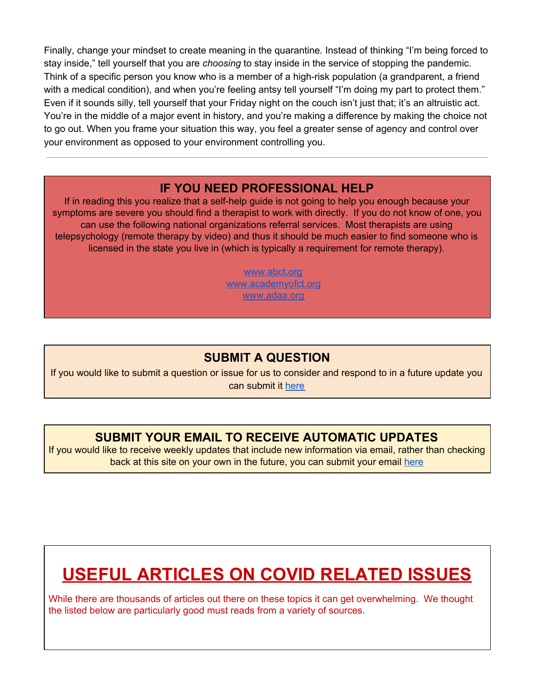Finally, change your mindset to create meaning in the quarantine*.* Instead of thinking "I'm being forced to stay inside," tell yourself that you are *choosing* to stay inside in the service of stopping the pandemic. Think of a specific person you know who is a member of a high-risk population (a grandparent, a friend with a medical condition), and when you're feeling antsy tell yourself "I'm doing my part to protect them." Even if it sounds silly, tell yourself that your Friday night on the couch isn't just that; it's an altruistic act. You're in the middle of a major event in history, and you're making a difference by making the choice not to go out. When you frame your situation this way, you feel a greater sense of agency and control over your environment as opposed to your environment controlling you.

## **IF YOU NEED PROFESSIONAL HELP**

If in reading this you realize that a self-help guide is not going to help you enough because your symptoms are severe you should find a therapist to work with directly. If you do not know of one, you can use the following national organizations referral services. Most therapists are using telepsychology (remote therapy by video) and thus it should be much easier to find someone who is licensed in the state you live in (which is typically a requirement for remote therapy).

> [www.abct.org](http://www.abct.org/) [www.academyofct.org](http://www.academyofct.org/) [www.adaa.org](http://www.adaa.org/)

# **SUBMIT A QUESTION**

If you would like to submit a question or issue for us to consider and respond to in a future update you can submit it [here](https://docs.google.com/forms/d/e/1FAIpQLSeGTXRpJHYZbzd5kXrmI3eIKNaI-JvxE-fkJZNiomL_JswgJQ/viewform?usp=sf_link)

# **SUBMIT YOUR EMAIL TO RECEIVE AUTOMATIC UPDATES**

If you would like to receive weekly updates that include new information via email, rather than checking back at this site on your own in the future, you can submit your email [here](https://docs.google.com/forms/d/e/1FAIpQLSeO35Y8lftDPHS7MuslsgXyogi1dWFb5yfSIXMOU49reQajgQ/viewform?usp=sf_link)

# **USEFUL ARTICLES ON COVID RELATED ISSUES**

While there are thousands of articles out there on these topics it can get overwhelming. We thought the listed below are particularly good must reads from a variety of sources.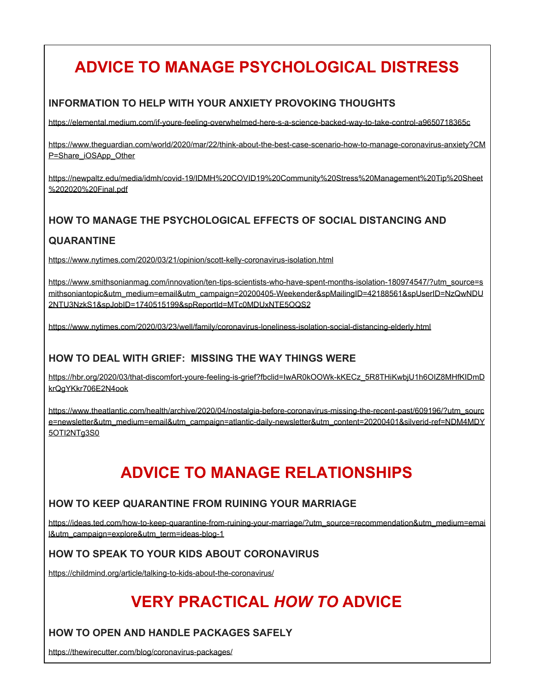# **ADVICE TO MANAGE PSYCHOLOGICAL DISTRESS**

### **INFORMATION TO HELP WITH YOUR ANXIETY PROVOKING THOUGHTS**

<https://elemental.medium.com/if-youre-feeling-overwhelmed-here-s-a-science-backed-way-to-take-control-a9650718365c>

[https://www.theguardian.com/world/2020/mar/22/think-about-the-best-case-scenario-how-to-manage-coronavirus-anxiety?CM](https://www.theguardian.com/world/2020/mar/22/think-about-the-best-case-scenario-how-to-manage-coronavirus-anxiety?CMP=Share_iOSApp_Other) [P=Share\\_iOSApp\\_Other](https://www.theguardian.com/world/2020/mar/22/think-about-the-best-case-scenario-how-to-manage-coronavirus-anxiety?CMP=Share_iOSApp_Other)

[https://newpaltz.edu/media/idmh/covid-19/IDMH%20COVID19%20Community%20Stress%20Management%20Tip%20Sheet](https://newpaltz.edu/media/idmh/covid-19/IDMH%20COVID19%20Community%20Stress%20Management%20Tip%20Sheet%202020%20Final.pdf) [%202020%20Final.pdf](https://newpaltz.edu/media/idmh/covid-19/IDMH%20COVID19%20Community%20Stress%20Management%20Tip%20Sheet%202020%20Final.pdf)

# **HOW TO MANAGE THE PSYCHOLOGICAL EFFECTS OF SOCIAL DISTANCING AND**

### **QUARANTINE**

<https://www.nytimes.com/2020/03/21/opinion/scott-kelly-coronavirus-isolation.html>

[https://www.smithsonianmag.com/innovation/ten-tips-scientists-who-have-spent-months-isolation-180974547/?utm\\_source=s](https://www.smithsonianmag.com/innovation/ten-tips-scientists-who-have-spent-months-isolation-180974547/?utm_source=smithsoniantopic&utm_medium=email&utm_campaign=20200405-Weekender&spMailingID=42188561&spUserID=NzQwNDU2NTU3NzkS1&spJobID=1740515199&spReportId=MTc0MDUxNTE5OQS2) [mithsoniantopic&utm\\_medium=email&utm\\_campaign=20200405-Weekender&spMailingID=42188561&spUserID=NzQwNDU](https://www.smithsonianmag.com/innovation/ten-tips-scientists-who-have-spent-months-isolation-180974547/?utm_source=smithsoniantopic&utm_medium=email&utm_campaign=20200405-Weekender&spMailingID=42188561&spUserID=NzQwNDU2NTU3NzkS1&spJobID=1740515199&spReportId=MTc0MDUxNTE5OQS2) [2NTU3NzkS1&spJobID=1740515199&spReportId=MTc0MDUxNTE5OQS2](https://www.smithsonianmag.com/innovation/ten-tips-scientists-who-have-spent-months-isolation-180974547/?utm_source=smithsoniantopic&utm_medium=email&utm_campaign=20200405-Weekender&spMailingID=42188561&spUserID=NzQwNDU2NTU3NzkS1&spJobID=1740515199&spReportId=MTc0MDUxNTE5OQS2)

<https://www.nytimes.com/2020/03/23/well/family/coronavirus-loneliness-isolation-social-distancing-elderly.html>

### **HOW TO DEAL WITH GRIEF: MISSING THE WAY THINGS WERE**

[https://hbr.org/2020/03/that-discomfort-youre-feeling-is-grief?fbclid=IwAR0kOOWk-kKECz\\_5R8THiKwbjU1h6OIZ8MHfKIDmD](https://hbr.org/2020/03/that-discomfort-youre-feeling-is-grief?fbclid=IwAR0kOOWk-kKECz_5R8THiKwbjU1h6OIZ8MHfKIDmDkrQgYKkr706E2N4ook) [krQgYKkr706E2N4ook](https://hbr.org/2020/03/that-discomfort-youre-feeling-is-grief?fbclid=IwAR0kOOWk-kKECz_5R8THiKwbjU1h6OIZ8MHfKIDmDkrQgYKkr706E2N4ook)

[https://www.theatlantic.com/health/archive/2020/04/nostalgia-before-coronavirus-missing-the-recent-past/609196/?utm\\_sourc](https://www.theatlantic.com/health/archive/2020/04/nostalgia-before-coronavirus-missing-the-recent-past/609196/?utm_source=newsletter&utm_medium=email&utm_campaign=atlantic-daily-newsletter&utm_content=20200401&silverid-ref=NDM4MDY5OTI2NTg3S0) [e=newsletter&utm\\_medium=email&utm\\_campaign=atlantic-daily-newsletter&utm\\_content=20200401&silverid-ref=NDM4MDY](https://www.theatlantic.com/health/archive/2020/04/nostalgia-before-coronavirus-missing-the-recent-past/609196/?utm_source=newsletter&utm_medium=email&utm_campaign=atlantic-daily-newsletter&utm_content=20200401&silverid-ref=NDM4MDY5OTI2NTg3S0) 5OTI2NTq3S0

# **ADVICE TO MANAGE RELATIONSHIPS**

#### **HOW TO KEEP QUARANTINE FROM RUINING YOUR MARRIAGE**

[https://ideas.ted.com/how-to-keep-quarantine-from-ruining-your-marriage/?utm\\_source=recommendation&utm\\_medium=emai](https://ideas.ted.com/how-to-keep-quarantine-from-ruining-your-marriage/?utm_source=recommendation&utm_medium=email&utm_campaign=explore&utm_term=ideas-blog-1) [l&utm\\_campaign=explore&utm\\_term=ideas-blog-1](https://ideas.ted.com/how-to-keep-quarantine-from-ruining-your-marriage/?utm_source=recommendation&utm_medium=email&utm_campaign=explore&utm_term=ideas-blog-1)

#### **HOW TO SPEAK TO YOUR KIDS ABOUT CORONAVIRUS**

<https://childmind.org/article/talking-to-kids-about-the-coronavirus/>

# **VERY PRACTICAL** *HOW TO* **ADVICE**

#### **HOW TO OPEN AND HANDLE PACKAGES SAFELY**

<https://thewirecutter.com/blog/coronavirus-packages/>